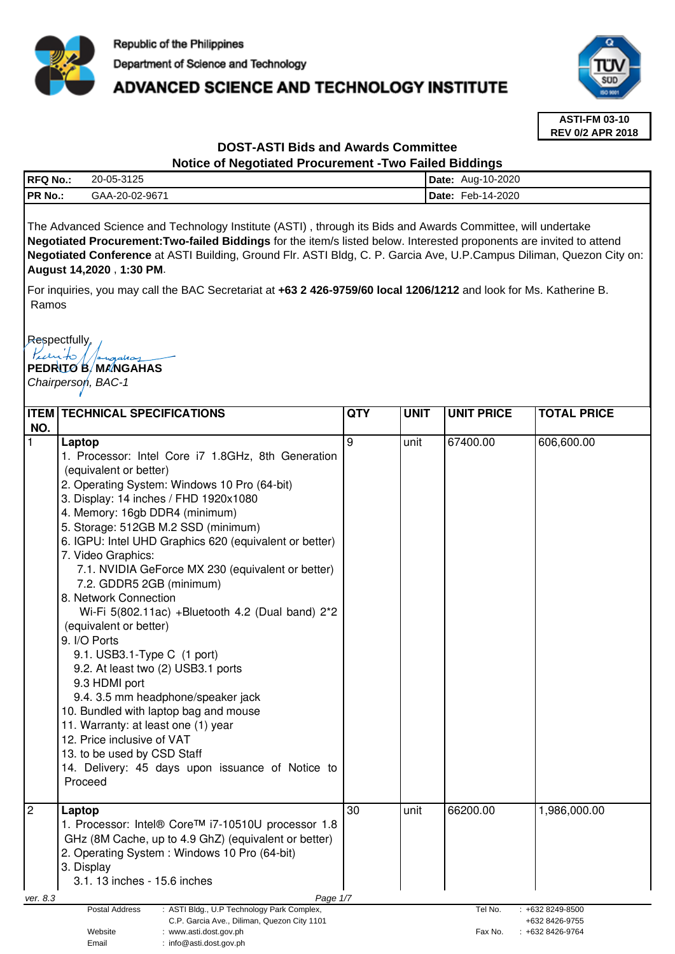

# **ADVANCED SCIENCE AND TECHNOLOGY INSTITUTE**



**ASTI-FM 03-10 REV 0/2 APR 2018**

## **DOST-ASTI Bids and Awards Committee**

#### **Notice of Negotiated Procurement -Two Failed Biddings**

| <b>RFQ No.:</b> | 20-05-3125     | <b>Date:</b> | Aug-10-2020 |
|-----------------|----------------|--------------|-------------|
| PR No.:         | GAA-20-02-9671 | 'Date:       | Feb-14-2020 |
|                 |                |              |             |

The Advanced Science and Technology Institute (ASTI) , through its Bids and Awards Committee, will undertake **Negotiated Procurement:Two-failed Biddings** for the item/s listed below. Interested proponents are invited to attend **Negotiated Conference** at ASTI Building, Ground Flr. ASTI Bldg, C. P. Garcia Ave, U.P.Campus Diliman, Quezon City on: **August 14,2020** , **1:30 PM**.

For inquiries, you may call the BAC Secretariat at **+63 2 426-9759/60 local 1206/1212** and look for Ms. Katherine B. Ramos

Respectfully,

Pedrito 11. **PEDRITO B. MANGAHAS** 

Chairperson, BAC-1

|                                                                                                                                                                                      | <b>ITEM   TECHNICAL SPECIFICATIONS</b>                                                                                                                                                                                                                                                                                                                                                                                                                                                                                                                                                                                                                                                                                                                                                                                                                                                   | <b>QTY</b>      | <b>UNIT</b>                                                                        | <b>UNIT PRICE</b> | <b>TOTAL PRICE</b> |  |
|--------------------------------------------------------------------------------------------------------------------------------------------------------------------------------------|------------------------------------------------------------------------------------------------------------------------------------------------------------------------------------------------------------------------------------------------------------------------------------------------------------------------------------------------------------------------------------------------------------------------------------------------------------------------------------------------------------------------------------------------------------------------------------------------------------------------------------------------------------------------------------------------------------------------------------------------------------------------------------------------------------------------------------------------------------------------------------------|-----------------|------------------------------------------------------------------------------------|-------------------|--------------------|--|
| NO.<br>$\mathbf{1}$                                                                                                                                                                  | Laptop<br>1. Processor: Intel Core i7 1.8GHz, 8th Generation<br>(equivalent or better)<br>2. Operating System: Windows 10 Pro (64-bit)<br>3. Display: 14 inches / FHD 1920x1080<br>4. Memory: 16gb DDR4 (minimum)<br>5. Storage: 512GB M.2 SSD (minimum)<br>6. IGPU: Intel UHD Graphics 620 (equivalent or better)<br>7. Video Graphics:<br>7.1. NVIDIA GeForce MX 230 (equivalent or better)<br>7.2. GDDR5 2GB (minimum)<br>8. Network Connection<br>Wi-Fi 5(802.11ac) +Bluetooth 4.2 (Dual band) 2*2<br>(equivalent or better)<br>9. I/O Ports<br>9.1. USB3.1-Type C (1 port)<br>9.2. At least two (2) USB3.1 ports<br>9.3 HDMI port<br>9.4. 3.5 mm headphone/speaker jack<br>10. Bundled with laptop bag and mouse<br>11. Warranty: at least one (1) year<br>12. Price inclusive of VAT<br>13. to be used by CSD Staff<br>14. Delivery: 45 days upon issuance of Notice to<br>Proceed | 9               | unit                                                                               | 67400.00          | 606,600.00         |  |
| $\overline{2}$                                                                                                                                                                       | Laptop<br>1. Processor: Intel® Core™ i7-10510U processor 1.8<br>GHz (8M Cache, up to 4.9 GhZ) (equivalent or better)<br>2. Operating System: Windows 10 Pro (64-bit)<br>3. Display<br>3.1. 13 inches - 15.6 inches                                                                                                                                                                                                                                                                                                                                                                                                                                                                                                                                                                                                                                                                       | $\overline{30}$ | unit                                                                               | 66200.00          | 1,986,000.00       |  |
| ver. 8.3                                                                                                                                                                             | Page 1/7                                                                                                                                                                                                                                                                                                                                                                                                                                                                                                                                                                                                                                                                                                                                                                                                                                                                                 |                 |                                                                                    |                   |                    |  |
| Postal Address<br>: ASTI Bldg., U.P Technology Park Complex,<br>C.P. Garcia Ave., Diliman, Quezon City 1101<br>Website<br>: www.asti.dost.gov.ph<br>Email<br>: info@asti.dost.gov.ph |                                                                                                                                                                                                                                                                                                                                                                                                                                                                                                                                                                                                                                                                                                                                                                                                                                                                                          |                 | Tel No.<br>$: +6328249 - 8500$<br>+632 8426-9755<br>Fax No.<br>$: +6328426 - 9764$ |                   |                    |  |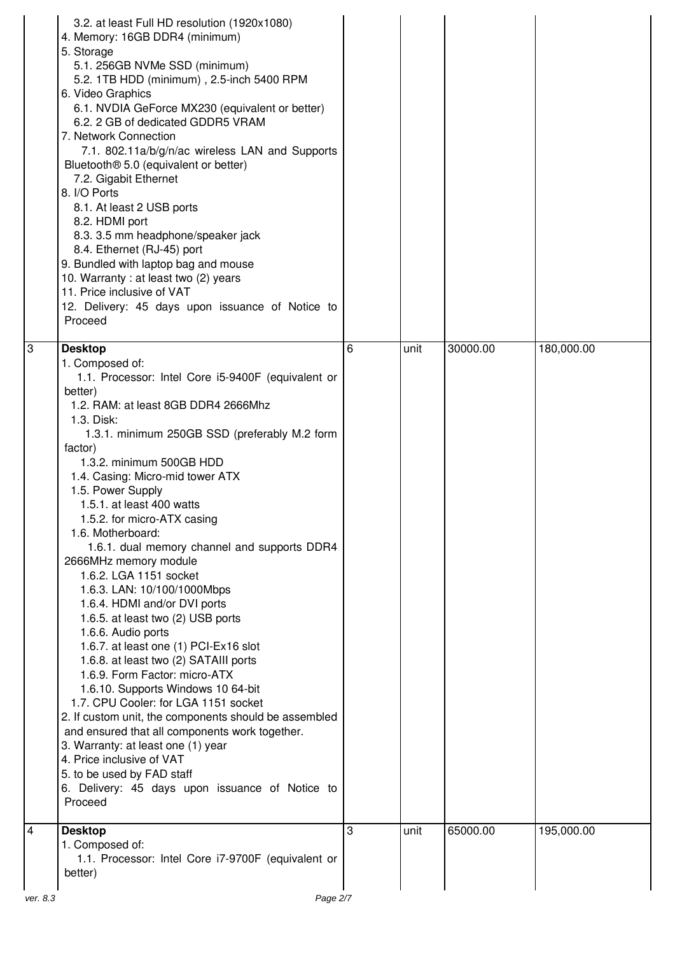|   | 3.2. at least Full HD resolution (1920x1080)<br>4. Memory: 16GB DDR4 (minimum)<br>5. Storage<br>5.1. 256GB NVMe SSD (minimum)<br>5.2. 1TB HDD (minimum), 2.5-inch 5400 RPM<br>6. Video Graphics<br>6.1. NVDIA GeForce MX230 (equivalent or better)<br>6.2. 2 GB of dedicated GDDR5 VRAM<br>7. Network Connection<br>7.1. 802.11a/b/g/n/ac wireless LAN and Supports<br>Bluetooth <sup>®</sup> 5.0 (equivalent or better)<br>7.2. Gigabit Ethernet<br>8. I/O Ports<br>8.1. At least 2 USB ports<br>8.2. HDMI port<br>8.3. 3.5 mm headphone/speaker jack<br>8.4. Ethernet (RJ-45) port<br>9. Bundled with laptop bag and mouse<br>10. Warranty: at least two (2) years<br>11. Price inclusive of VAT<br>12. Delivery: 45 days upon issuance of Notice to<br>Proceed                                                                                                                                                                                                                                                                                                                                 |   |      |          |            |
|---|---------------------------------------------------------------------------------------------------------------------------------------------------------------------------------------------------------------------------------------------------------------------------------------------------------------------------------------------------------------------------------------------------------------------------------------------------------------------------------------------------------------------------------------------------------------------------------------------------------------------------------------------------------------------------------------------------------------------------------------------------------------------------------------------------------------------------------------------------------------------------------------------------------------------------------------------------------------------------------------------------------------------------------------------------------------------------------------------------|---|------|----------|------------|
| 3 | <b>Desktop</b><br>1. Composed of:<br>1.1. Processor: Intel Core i5-9400F (equivalent or<br>better)<br>1.2. RAM: at least 8GB DDR4 2666Mhz<br>1.3. Disk:<br>1.3.1. minimum 250GB SSD (preferably M.2 form<br>factor)<br>1.3.2. minimum 500GB HDD<br>1.4. Casing: Micro-mid tower ATX<br>1.5. Power Supply<br>1.5.1. at least 400 watts<br>1.5.2. for micro-ATX casing<br>1.6. Motherboard:<br>1.6.1. dual memory channel and supports DDR4<br>2666MHz memory module<br>1.6.2. LGA 1151 socket<br>1.6.3. LAN: 10/100/1000Mbps<br>1.6.4. HDMI and/or DVI ports<br>1.6.5. at least two (2) USB ports<br>1.6.6. Audio ports<br>1.6.7. at least one (1) PCI-Ex16 slot<br>1.6.8. at least two (2) SATAIII ports<br>1.6.9. Form Factor: micro-ATX<br>1.6.10. Supports Windows 10 64-bit<br>1.7. CPU Cooler: for LGA 1151 socket<br>2. If custom unit, the components should be assembled<br>and ensured that all components work together.<br>3. Warranty: at least one (1) year<br>4. Price inclusive of VAT<br>5. to be used by FAD staff<br>6. Delivery: 45 days upon issuance of Notice to<br>Proceed | 6 | unit | 30000.00 | 180,000.00 |
| 4 | <b>Desktop</b><br>1. Composed of:<br>1.1. Processor: Intel Core i7-9700F (equivalent or<br>better)                                                                                                                                                                                                                                                                                                                                                                                                                                                                                                                                                                                                                                                                                                                                                                                                                                                                                                                                                                                                | 3 | unit | 65000.00 | 195,000.00 |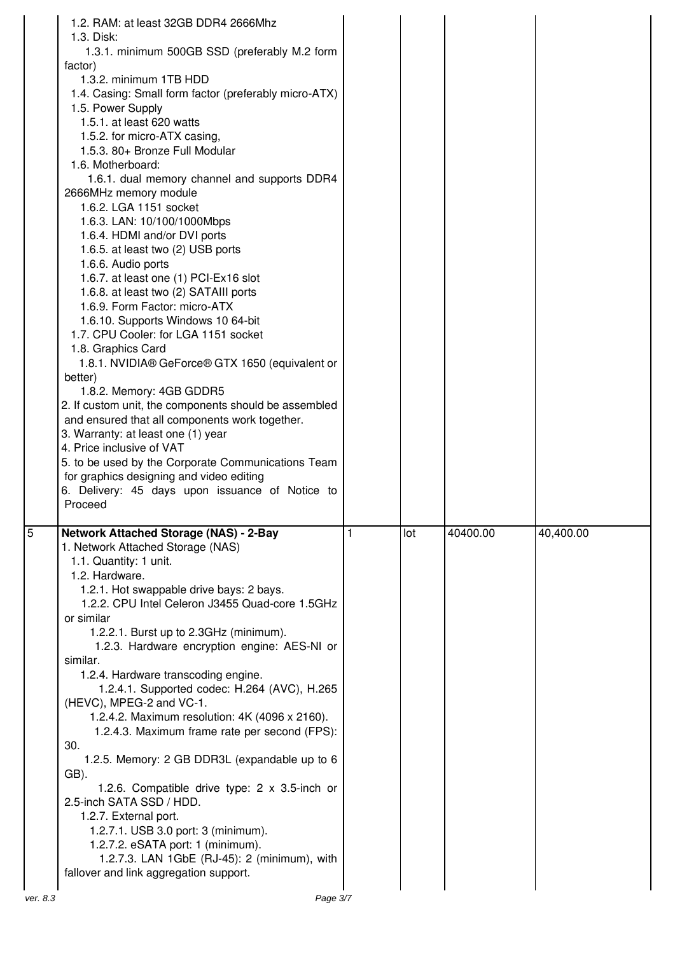| 1.2. RAM: at least 32GB DDR4 2666Mhz<br>1.3. Disk:<br>1.3.1. minimum 500GB SSD (preferably M.2 form<br>factor)<br>1.3.2. minimum 1TB HDD<br>1.4. Casing: Small form factor (preferably micro-ATX)<br>1.5. Power Supply<br>1.5.1. at least 620 watts<br>1.5.2. for micro-ATX casing,<br>1.5.3. 80+ Bronze Full Modular<br>1.6. Motherboard:<br>1.6.1. dual memory channel and supports DDR4<br>2666MHz memory module<br>1.6.2. LGA 1151 socket<br>1.6.3. LAN: 10/100/1000Mbps<br>1.6.4. HDMI and/or DVI ports<br>1.6.5. at least two (2) USB ports<br>1.6.6. Audio ports<br>1.6.7. at least one (1) PCI-Ex16 slot<br>1.6.8. at least two (2) SATAIII ports<br>1.6.9. Form Factor: micro-ATX<br>1.6.10. Supports Windows 10 64-bit<br>1.7. CPU Cooler: for LGA 1151 socket<br>1.8. Graphics Card<br>1.8.1. NVIDIA® GeForce® GTX 1650 (equivalent or<br>better)<br>1.8.2. Memory: 4GB GDDR5<br>2. If custom unit, the components should be assembled<br>and ensured that all components work together.<br>3. Warranty: at least one (1) year<br>4. Price inclusive of VAT<br>5. to be used by the Corporate Communications Team<br>for graphics designing and video editing<br>6. Delivery: 45 days upon issuance of Notice to<br>Proceed |          |     |          |           |
|----------------------------------------------------------------------------------------------------------------------------------------------------------------------------------------------------------------------------------------------------------------------------------------------------------------------------------------------------------------------------------------------------------------------------------------------------------------------------------------------------------------------------------------------------------------------------------------------------------------------------------------------------------------------------------------------------------------------------------------------------------------------------------------------------------------------------------------------------------------------------------------------------------------------------------------------------------------------------------------------------------------------------------------------------------------------------------------------------------------------------------------------------------------------------------------------------------------------------------------|----------|-----|----------|-----------|
| $\overline{5}$<br><b>Network Attached Storage (NAS) - 2-Bay</b><br>1. Network Attached Storage (NAS)<br>1.1. Quantity: 1 unit.<br>1.2. Hardware.<br>1.2.1. Hot swappable drive bays: 2 bays.<br>1.2.2. CPU Intel Celeron J3455 Quad-core 1.5GHz<br>or similar<br>1.2.2.1. Burst up to 2.3GHz (minimum).<br>1.2.3. Hardware encryption engine: AES-NI or<br>similar.<br>1.2.4. Hardware transcoding engine.<br>1.2.4.1. Supported codec: H.264 (AVC), H.265<br>(HEVC), MPEG-2 and VC-1.<br>1.2.4.2. Maximum resolution: 4K (4096 x 2160).<br>1.2.4.3. Maximum frame rate per second (FPS):<br>30.<br>1.2.5. Memory: 2 GB DDR3L (expandable up to 6<br>GB).<br>1.2.6. Compatible drive type: 2 x 3.5-inch or<br>2.5-inch SATA SSD / HDD.<br>1.2.7. External port.<br>1.2.7.1. USB 3.0 port: 3 (minimum).<br>1.2.7.2. eSATA port: 1 (minimum).<br>1.2.7.3. LAN 1GbE (RJ-45): 2 (minimum), with<br>fallover and link aggregation support.<br>ver. 8.3                                                                                                                                                                                                                                                                                      | Page 3/7 | lot | 40400.00 | 40,400.00 |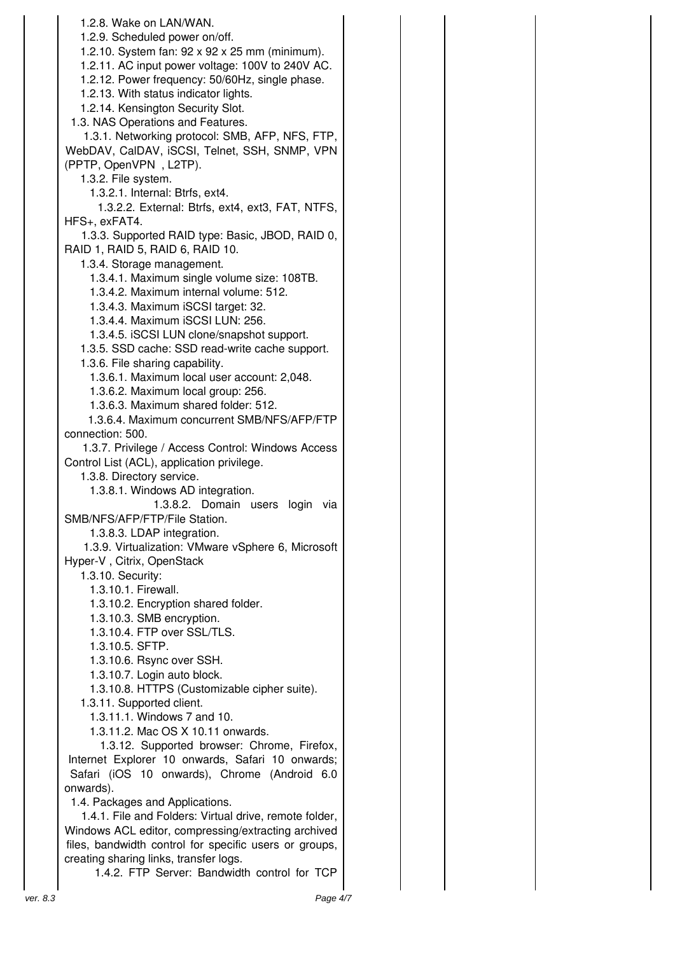1.2.8. Wake on LAN/WAN. 1.2.9. Scheduled power on/off. 1.2.10. System fan: 92 x 92 x 25 mm (minimum). 1.2.11. AC input power voltage: 100V to 240V AC. 1.2.12. Power frequency: 50/60Hz, single phase. 1.2.13. With status indicator lights. 1.2.14. Kensington Security Slot. 1.3. NAS Operations and Features. 1.3.1. Networking protocol: SMB, AFP, NFS, FTP, WebDAV, CalDAV, iSCSI, Telnet, SSH, SNMP, VPN (PPTP, OpenVPN , L2TP). 1.3.2. File system. 1.3.2.1. Internal: Btrfs, ext4. 1.3.2.2. External: Btrfs, ext4, ext3, FAT, NTFS, HFS+, exFAT4. 1.3.3. Supported RAID type: Basic, JBOD, RAID 0, RAID 1, RAID 5, RAID 6, RAID 10. 1.3.4. Storage management. 1.3.4.1. Maximum single volume size: 108TB. 1.3.4.2. Maximum internal volume: 512. 1.3.4.3. Maximum iSCSI target: 32. 1.3.4.4. Maximum iSCSI LUN: 256. 1.3.4.5. iSCSI LUN clone/snapshot support. 1.3.5. SSD cache: SSD read-write cache support. 1.3.6. File sharing capability. 1.3.6.1. Maximum local user account: 2,048. 1.3.6.2. Maximum local group: 256. 1.3.6.3. Maximum shared folder: 512. 1.3.6.4. Maximum concurrent SMB/NFS/AFP/FTP connection: 500. 1.3.7. Privilege / Access Control: Windows Access Control List (ACL), application privilege. 1.3.8. Directory service. 1.3.8.1. Windows AD integration. 1.3.8.2. Domain users login via SMB/NFS/AFP/FTP/File Station. 1.3.8.3. LDAP integration. 1.3.9. Virtualization: VMware vSphere 6, Microsoft Hyper-V , Citrix, OpenStack 1.3.10. Security: 1.3.10.1. Firewall. 1.3.10.2. Encryption shared folder. 1.3.10.3. SMB encryption. 1.3.10.4. FTP over SSL/TLS. 1.3.10.5. SFTP. 1.3.10.6. Rsync over SSH. 1.3.10.7. Login auto block. 1.3.10.8. HTTPS (Customizable cipher suite). 1.3.11. Supported client. 1.3.11.1. Windows 7 and 10. 1.3.11.2. Mac OS X 10.11 onwards. 1.3.12. Supported browser: Chrome, Firefox, Internet Explorer 10 onwards, Safari 10 onwards; Safari (iOS 10 onwards), Chrome (Android 6.0 onwards). 1.4. Packages and Applications. 1.4.1. File and Folders: Virtual drive, remote folder, Windows ACL editor, compressing/extracting archived files, bandwidth control for specific users or groups, creating sharing links, transfer logs.

1.4.2. FTP Server: Bandwidth control for TCP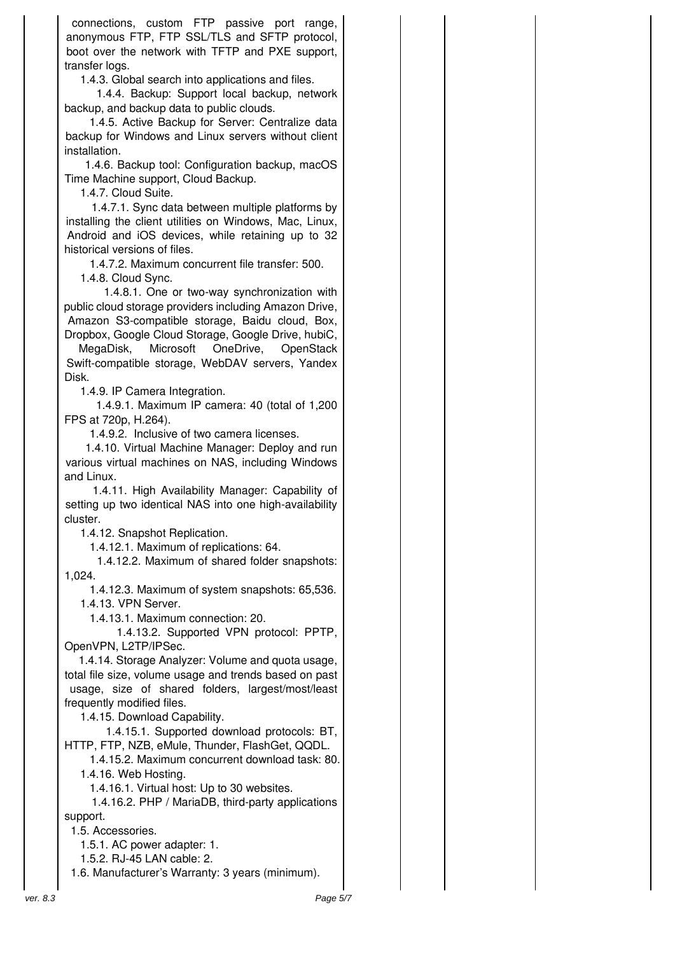connections, custom FTP passive port range, anonymous FTP, FTP SSL/TLS and SFTP protocol, boot over the network with TFTP and PXE support, transfer logs.

1.4.3. Global search into applications and files.

1.4.4. Backup: Support local backup, network backup, and backup data to public clouds.

1.4.5. Active Backup for Server: Centralize data backup for Windows and Linux servers without client installation.

1.4.6. Backup tool: Configuration backup, macOS Time Machine support, Cloud Backup.

1.4.7. Cloud Suite.

1.4.7.1. Sync data between multiple platforms by installing the client utilities on Windows, Mac, Linux, Android and iOS devices, while retaining up to 32 historical versions of files.

1.4.7.2. Maximum concurrent file transfer: 500.

1.4.8. Cloud Sync.

1.4.8.1. One or two-way synchronization with public cloud storage providers including Amazon Drive, Amazon S3-compatible storage, Baidu cloud, Box, Dropbox, Google Cloud Storage, Google Drive, hubiC,

MegaDisk, Microsoft OneDrive, OpenStack Swift-compatible storage, WebDAV servers, Yandex Disk.

1.4.9. IP Camera Integration.

1.4.9.1. Maximum IP camera: 40 (total of 1,200 FPS at 720p, H.264).

1.4.9.2. Inclusive of two camera licenses.

1.4.10. Virtual Machine Manager: Deploy and run various virtual machines on NAS, including Windows and Linux.

1.4.11. High Availability Manager: Capability of setting up two identical NAS into one high-availability cluster.

1.4.12. Snapshot Replication.

1.4.12.1. Maximum of replications: 64.

1.4.12.2. Maximum of shared folder snapshots: 1,024.

 1.4.12.3. Maximum of system snapshots: 65,536. 1.4.13. VPN Server.

1.4.13.1. Maximum connection: 20.

1.4.13.2. Supported VPN protocol: PPTP, OpenVPN, L2TP/IPSec.

1.4.14. Storage Analyzer: Volume and quota usage, total file size, volume usage and trends based on past usage, size of shared folders, largest/most/least frequently modified files.

1.4.15. Download Capability.

1.4.15.1. Supported download protocols: BT, HTTP, FTP, NZB, eMule, Thunder, FlashGet, QQDL.

 1.4.15.2. Maximum concurrent download task: 80. 1.4.16. Web Hosting.

1.4.16.1. Virtual host: Up to 30 websites.

1.4.16.2. PHP / MariaDB, third-party applications support.

1.5. Accessories.

1.5.1. AC power adapter: 1.

1.5.2. RJ-45 LAN cable: 2.

1.6. Manufacturer's Warranty: 3 years (minimum).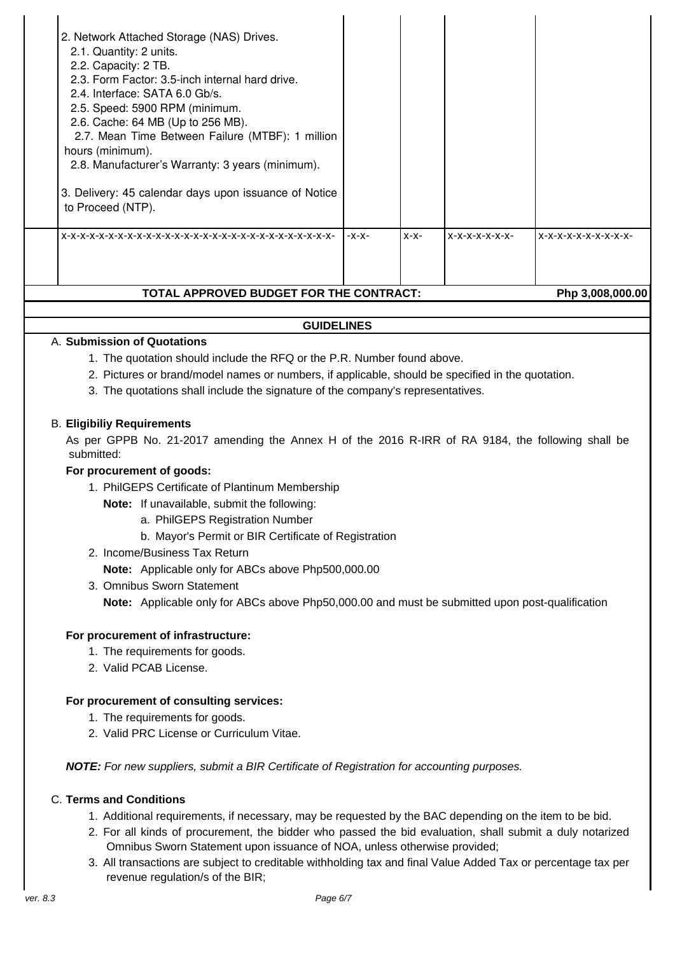| 2.5. Speed: 5900 RPM (minimum.<br>2.6. Cache: 64 MB (Up to 256 MB).<br>2.7. Mean Time Between Failure (MTBF): 1 million<br>hours (minimum).<br>2.8. Manufacturer's Warranty: 3 years (minimum).<br>3. Delivery: 45 calendar days upon issuance of Notice<br>to Proceed (NTP).<br>TOTAL APPROVED BUDGET FOR THE CONTRACT: | $-X-X-$ | $X-X-$ | $X-X-X-X-X-X-$ | $X-X-X-X-X-X-X-X-X$<br>Php 3,008,000.00 |
|--------------------------------------------------------------------------------------------------------------------------------------------------------------------------------------------------------------------------------------------------------------------------------------------------------------------------|---------|--------|----------------|-----------------------------------------|
| 2. Network Attached Storage (NAS) Drives.<br>2.1. Quantity: 2 units.<br>2.2. Capacity: 2 TB.<br>2.3. Form Factor: 3.5-inch internal hard drive.<br>2.4. Interface: SATA 6.0 Gb/s.                                                                                                                                        |         |        |                |                                         |

## **GUIDELINES**

#### A. **Submission of Quotations**

- 1. The quotation should include the RFQ or the P.R. Number found above.
- 2. Pictures or brand/model names or numbers, if applicable, should be specified in the quotation.
- 3. The quotations shall include the signature of the company's representatives.

#### B. **Eligibiliy Requirements**

As per GPPB No. 21-2017 amending the Annex H of the 2016 R-IRR of RA 9184, the following shall be submitted:

#### **For procurement of goods:**

- 1. PhilGEPS Certificate of Plantinum Membership
	- **Note:** If unavailable, submit the following:
		- a. PhilGEPS Registration Number
		- b. Mayor's Permit or BIR Certificate of Registration
- 2. Income/Business Tax Return

**Note:** Applicable only for ABCs above Php500,000.00

3. Omnibus Sworn Statement

**Note:** Applicable only for ABCs above Php50,000.00 and must be submitted upon post-qualification

#### **For procurement of infrastructure:**

- 1. The requirements for goods.
- 2. Valid PCAB License.

#### **For procurement of consulting services:**

- 1. The requirements for goods.
- 2. Valid PRC License or Curriculum Vitae.

**NOTE:** For new suppliers, submit a BIR Certificate of Registration for accounting purposes.

### C. **Terms and Conditions**

- 1. Additional requirements, if necessary, may be requested by the BAC depending on the item to be bid.
- 2. For all kinds of procurement, the bidder who passed the bid evaluation, shall submit a duly notarized Omnibus Sworn Statement upon issuance of NOA, unless otherwise provided;
- 3. All transactions are subject to creditable withholding tax and final Value Added Tax or percentage tax per revenue regulation/s of the BIR;